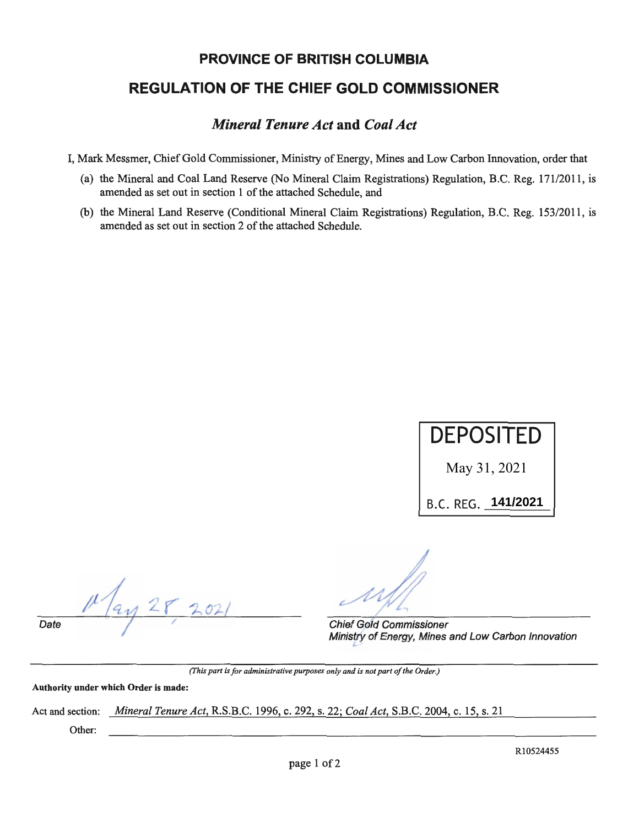## **PROVINCE OF BRITISH COLUMBIA**

# **REGULATION OF THE CHIEF GOLD COMMISSIONER**

# *Mineral Tenure Act* **and** *Coal Act*

I, Mark Messmer, Chief Gold Commissioner, Ministry of Energy, Mines and Low Carbon Innovation, order that

- (a) the Mineral and Coal Land Reserve (No Mineral Claim Registrations) Regulation, B.C. Reg. 171/2011, is amended as set out in section 1 of the attached Schedule, and
- (b) the Mineral Land Reserve (Conditional Mineral Claim Registrations) Regulation, B.C. Reg. 153/2011, is amended as set out in section 2 of the attached Schedule.



**Date** */I·* 

Chief Gold Commissioner Ministry of Energy, Mines and Low Carbon Innovation

*(This part is for administrative purposes only and is not part of the Order.)* 

**Authority under which Order is made:** 

Act and section: *Mineral Tenure Act,* R.S.B.C. 1996, c. 292, s. 22; *Coal Act,* S.B.C. 2004, c. 15, s. 21

Other:

R10524455